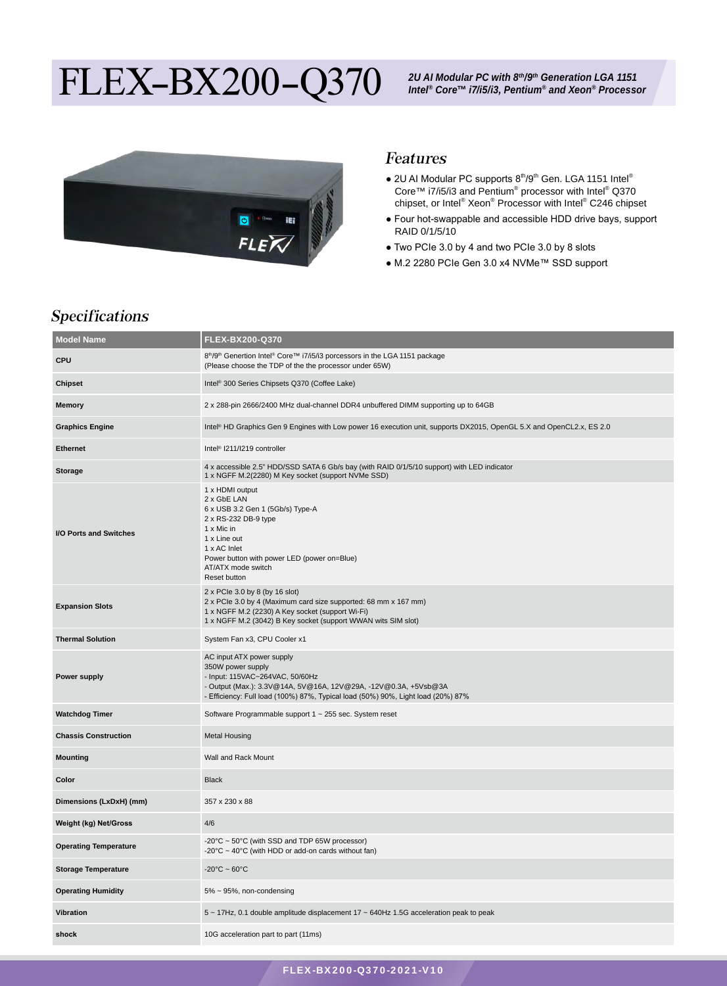# FLEX-BX200-Q370



#### Features

- $\bullet$  2U AI Modular PC supports  $8<sup>th</sup>/9<sup>th</sup>$  Gen. LGA 1151 Intel® Core™ i7/i5/i3 and Pentium<sup>®</sup> processor with Intel<sup>®</sup> Q370 chipset, or Intel® Xeon® Processor with Intel® C246 chipset
- Four hot-swappable and accessible HDD drive bays, support RAID 0/1/5/10
- Two PCIe 3.0 by 4 and two PCIe 3.0 by 8 slots
- M.2 2280 PCIe Gen 3.0 x4 NVMe™ SSD support

## Specifications

| <b>Model Name</b>            | FLEX-BX200-Q370                                                                                                                                                                                                                          |  |  |
|------------------------------|------------------------------------------------------------------------------------------------------------------------------------------------------------------------------------------------------------------------------------------|--|--|
| CPU                          | 8 <sup>th</sup> /9 <sup>th</sup> Genertion Intel® Core™ i7/i5/i3 porcessors in the LGA 1151 package<br>(Please choose the TDP of the the processor under 65W)                                                                            |  |  |
| <b>Chipset</b>               | Intel <sup>®</sup> 300 Series Chipsets Q370 (Coffee Lake)                                                                                                                                                                                |  |  |
| <b>Memory</b>                | 2 x 288-pin 2666/2400 MHz dual-channel DDR4 unbuffered DIMM supporting up to 64GB                                                                                                                                                        |  |  |
| <b>Graphics Engine</b>       | Intel® HD Graphics Gen 9 Engines with Low power 16 execution unit, supports DX2015, OpenGL 5.X and OpenCL2.x, ES 2.0                                                                                                                     |  |  |
| <b>Ethernet</b>              | Intel <sup>®</sup> I211/I219 controller                                                                                                                                                                                                  |  |  |
| <b>Storage</b>               | 4 x accessible 2.5" HDD/SSD SATA 6 Gb/s bay (with RAID 0/1/5/10 support) with LED indicator<br>1 x NGFF M.2(2280) M Key socket (support NVMe SSD)                                                                                        |  |  |
| I/O Ports and Switches       | 1 x HDMI output<br>2 x GbE LAN<br>6 x USB 3.2 Gen 1 (5Gb/s) Type-A<br>2 x RS-232 DB-9 type<br>1 x Mic in<br>1 x Line out<br>1 x AC Inlet<br>Power button with power LED (power on=Blue)<br>AT/ATX mode switch<br>Reset button            |  |  |
| <b>Expansion Slots</b>       | 2 x PCle 3.0 by 8 (by 16 slot)<br>2 x PCIe 3.0 by 4 (Maximum card size supported: 68 mm x 167 mm)<br>1 x NGFF M.2 (2230) A Key socket (support Wi-Fi)<br>1 x NGFF M.2 (3042) B Key socket (support WWAN wits SIM slot)                   |  |  |
| <b>Thermal Solution</b>      | System Fan x3, CPU Cooler x1                                                                                                                                                                                                             |  |  |
| <b>Power supply</b>          | AC input ATX power supply<br>350W power supply<br>- Input: 115VAC~264VAC, 50/60Hz<br>- Output (Max.): 3.3V@14A, 5V@16A, 12V@29A, -12V@0.3A, +5Vsb@3A<br>- Efficiency: Full load (100%) 87%, Typical load (50%) 90%, Light load (20%) 87% |  |  |
| <b>Watchdog Timer</b>        | Software Programmable support 1 ~ 255 sec. System reset                                                                                                                                                                                  |  |  |
| <b>Chassis Construction</b>  | <b>Metal Housing</b>                                                                                                                                                                                                                     |  |  |
| <b>Mounting</b>              | Wall and Rack Mount                                                                                                                                                                                                                      |  |  |
| Color                        | <b>Black</b>                                                                                                                                                                                                                             |  |  |
| Dimensions (LxDxH) (mm)      | 357 x 230 x 88                                                                                                                                                                                                                           |  |  |
| <b>Weight (kg) Net/Gross</b> | 4/6                                                                                                                                                                                                                                      |  |  |
| <b>Operating Temperature</b> | -20°C ~ 50°C (with SSD and TDP 65W processor)<br>-20 $\degree$ C ~ 40 $\degree$ C (with HDD or add-on cards without fan)                                                                                                                 |  |  |
| <b>Storage Temperature</b>   | $-20^{\circ}$ C ~ 60 $^{\circ}$ C                                                                                                                                                                                                        |  |  |
| <b>Operating Humidity</b>    | 5% ~ 95%, non-condensing                                                                                                                                                                                                                 |  |  |
| <b>Vibration</b>             | 5 ~ 17Hz, 0.1 double amplitude displacement 17 ~ 640Hz 1.5G acceleration peak to peak                                                                                                                                                    |  |  |
| shock                        | 10G acceleration part to part (11ms)                                                                                                                                                                                                     |  |  |